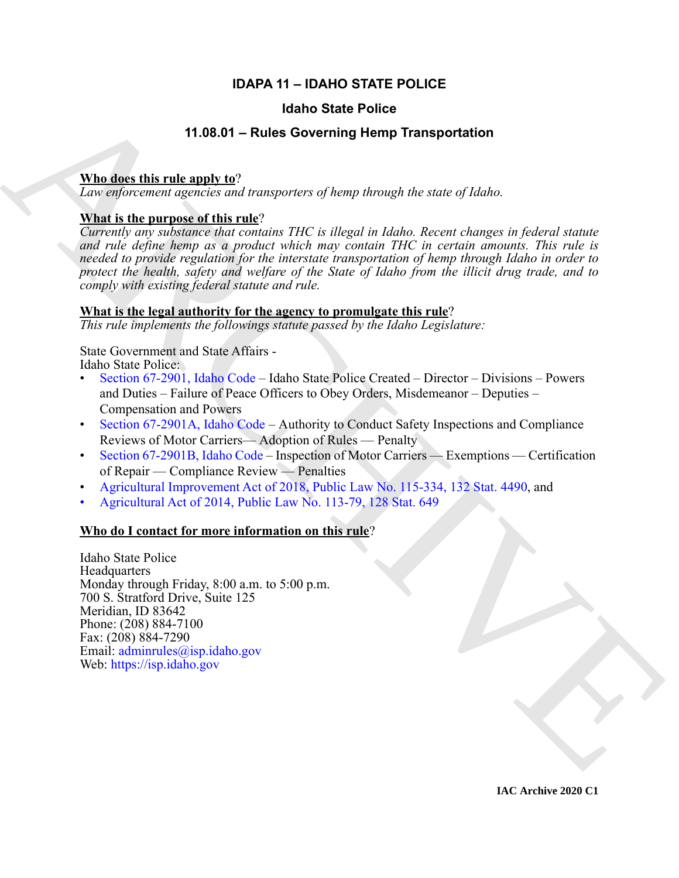## **IDAPA 11 – IDAHO STATE POLICE**

### **Idaho State Police**

### **11.08.01 – Rules Governing Hemp Transportation**

#### **Who does this rule apply to**?

*Law enforcement agencies and transporters of hemp through the state of Idaho.*

#### **What is the purpose of this rule**?

**11.08.01 – Fluide State Police<br>
11.08.01 – [R](https://legislature.idaho.gov/statutesrules/idstat/Title67/T67CH29/SECT67-2901/)ules Governing Hemp Transportation<br>
Then direct this rule angle to**  $\alpha$ **<br>
Len eighnorment operation and transportancy of hamp determined only taken state of the<br>
<b>Notice of the** *Currently any substance that contains THC is illegal in Idaho. Recent changes in federal statute and rule define hemp as a product which may contain THC in certain amounts. This rule is needed to provide regulation for the interstate transportation of hemp through Idaho in order to protect the health, safety and welfare of the State of Idaho from the illicit drug trade, and to comply with existing federal statute and rule.*

#### **What is the legal authority for the agency to promulgate this rule**?

*This rule implements the followings statute passed by the Idaho Legislature:*

State Government and State Affairs - Idaho State Police:

- Section 67-2901, Idaho Code Idaho State Police Created Director Divisions Powers and Duties – Failure of Peace Officers to Obey Orders, Misdemeanor – Deputies – Compensation and Powers
- Section 67-2901A, Idaho Code Authority to Conduct Safety Inspections and Compliance Reviews of Motor Carriers— Adoption of Rules — Penalty
- Section 67-2901B, Idaho Code Inspection of Motor Carriers Exemptions Certification of Repair — Compliance Review — Penalties
- Agricultural Improvement Act of 2018, Public Law No. 115-334, 132 Stat. 4490, and
- Agricultural Act of 2014, Public Law No. 113-79, 128 Stat. 649

#### **Who do I contact for more information on this rule**?

Idaho State Police **Headquarters** Monday through Friday, 8:00 a.m. to 5:00 p.m. 700 S. Stratford Drive, Suite 125 Meridian, ID 83642 Phone: (208) 884-7100 Fax: (208) 884-7290 Email: adminrules@isp.idaho.gov Web: https://isp.idaho.gov

**IAC Archive 2020 C1**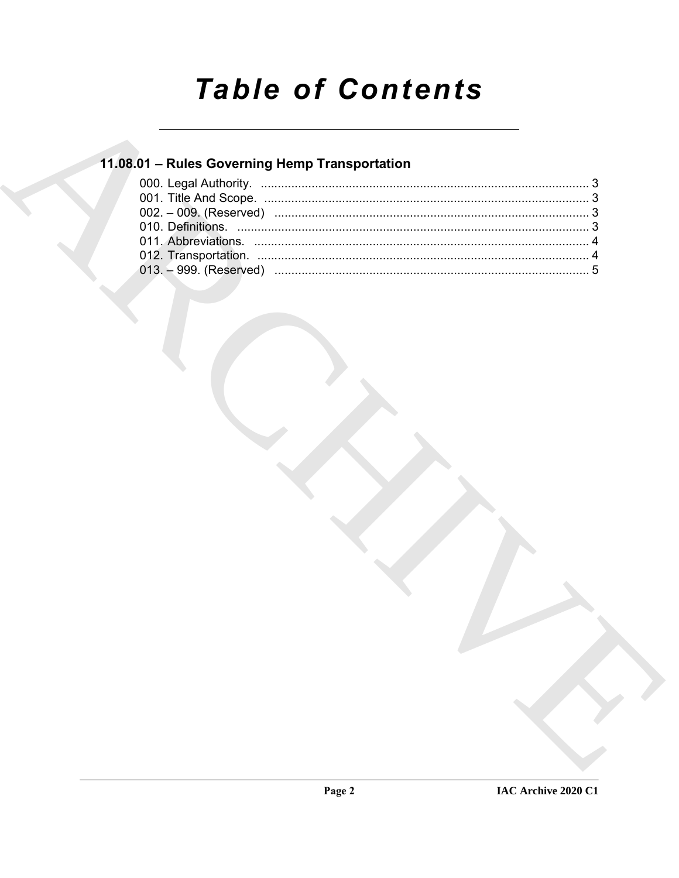# **Table of Contents**

## 11.08.01 - Rules Governing Hemp Transportation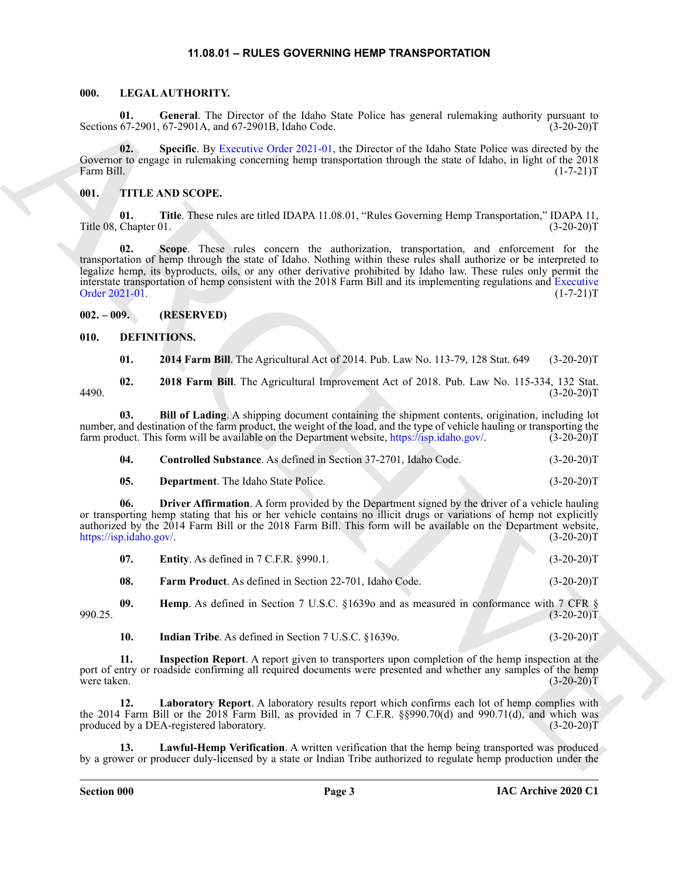#### **11.08.01 – RULES GOVERNING HEMP TRANSPORTATION**

#### <span id="page-2-19"></span><span id="page-2-1"></span><span id="page-2-0"></span>**000. LEGAL AUTHORITY.**

**01.** General. The Director of the Idaho State Police has general rulemaking authority pursuant to 67-2901, 67-2901A, and 67-2901B, Idaho Code. (3-20-20) Sections 67-2901, 67-2901A, and 67-2901B, Idaho Code.

**02. Specific**. By Executive Order 2021-01, the Director of the Idaho State Police was directed by the Governor to engage in rulemaking concerning hemp transportation through the state of Idaho, in light of the 2018 Farm Bill. (1-7-21)T

#### <span id="page-2-20"></span><span id="page-2-2"></span>**001. TITLE AND SCOPE.**

**01. Title**. These rules are titled IDAPA 11.08.01, "Rules Governing Hemp Transportation," IDAPA 11, Title 08, Chapter 01.

Scaling Control. The Base and Scaling Control and Scaling for the base particle has general relationships analyzing the control and the Scaling Control and Scaling Control and Scaling Control and Scaling Control and Scali **02. Scope**. These rules concern the authorization, transportation, and enforcement for the transportation of hemp through the state of Idaho. Nothing within these rules shall authorize or be interpreted to legalize hemp, its byproducts, oils, or any other derivative prohibited by Idaho law. These rules only permit the interstate transportation of hemp consistent with the 2018 Farm Bill and its implementing regulations and Executive Order 2021-01.

<span id="page-2-3"></span>**002. – 009. (RESERVED)**

#### <span id="page-2-4"></span>**010. DEFINITIONS.**

<span id="page-2-8"></span><span id="page-2-7"></span><span id="page-2-6"></span><span id="page-2-5"></span>**01. 2014 Farm Bill**. The Agricultural Act of 2014. Pub. Law No. 113-79, 128 Stat. 649 (3-20-20)T

**02. 2018 Farm Bill**. The Agricultural Improvement Act of 2018. Pub. Law No. 115-334, 132 Stat. 4490. (3-20-20)T

**03. Bill of Lading**. A shipping document containing the shipment contents, origination, including lot number, and destination of the farm product, the weight of the load, and the type of vehicle hauling or transporting the farm product. This form will be available on the Department website, https://isp.idaho.gov/. (3-20-20 farm product. This form will be available on the Department website, https://isp.idaho.gov/.

<span id="page-2-9"></span>

| -04. | <b>Controlled Substance.</b> As defined in Section 37-2701, Idaho Code. |  | $(3-20-20)T$ |
|------|-------------------------------------------------------------------------|--|--------------|
|      |                                                                         |  |              |

<span id="page-2-11"></span><span id="page-2-10"></span>**05. Department**. The Idaho State Police. (3-20-20)T

**06. Driver Affirmation**. A form provided by the Department signed by the driver of a vehicle hauling or transporting hemp stating that his or her vehicle contains no illicit drugs or variations of hemp not explicitly authorized by the 2014 Farm Bill or the 2018 Farm Bill. This form will be available on the Department website, https://isp.idaho.gov/. (3-20-20)T

<span id="page-2-12"></span>

| 07. | <b>Entity.</b> As defined in $7 \text{ C.F.R. }$ §990.1. |  |  | $(3-20-20)T$ |
|-----|----------------------------------------------------------|--|--|--------------|
|-----|----------------------------------------------------------|--|--|--------------|

<span id="page-2-14"></span><span id="page-2-13"></span>**08. Farm Product**. As defined in Section 22-701, Idaho Code. (3-20-20)T

**09. Hemp**. As defined in Section 7 U.S.C. §16390 and as measured in conformance with 7 CFR § 990.25. (3-20-20)T

<span id="page-2-17"></span><span id="page-2-16"></span><span id="page-2-15"></span>**10.** Indian Tribe. As defined in Section 7 U.S.C. §1639o. (3-20-20)T

**11. Inspection Report**. A report given to transporters upon completion of the hemp inspection at the port of entry or roadside confirming all required documents were presented and whether any samples of the hemp were taken.  $(3-20-20)T$ 

**12. Laboratory Report**. A laboratory results report which confirms each lot of hemp complies with the 2014 Farm Bill or the 2018 Farm Bill, as provided in  $\vec{7}$  C.F.R. §§990.70(d) and 990.71(d), and which was produced by a DEA-registered laboratory. (3-20-20) produced by a DEA-registered laboratory.

<span id="page-2-18"></span>Lawful-Hemp Verification. A written verification that the hemp being transported was produced by a grower or producer duly-licensed by a state or Indian Tribe authorized to regulate hemp production under the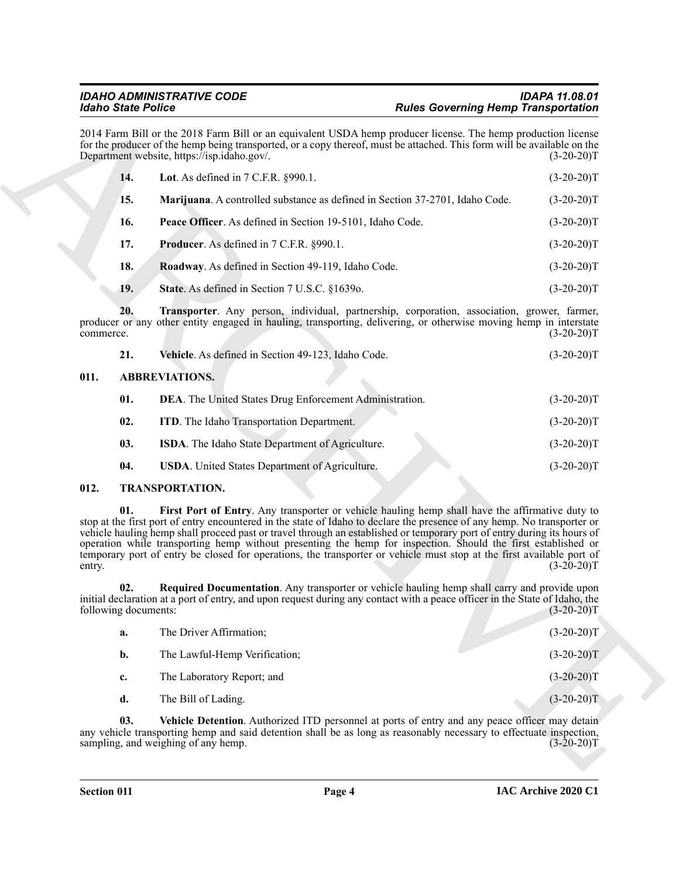<span id="page-3-7"></span>

|           |                             | <b>Idaho State Police</b>                                                                                                                                                                                                                                                                                                                                                                                                                                                                                                                                                                        | <b>Rules Governing Hemp Transportation</b> |
|-----------|-----------------------------|--------------------------------------------------------------------------------------------------------------------------------------------------------------------------------------------------------------------------------------------------------------------------------------------------------------------------------------------------------------------------------------------------------------------------------------------------------------------------------------------------------------------------------------------------------------------------------------------------|--------------------------------------------|
|           |                             | 2014 Farm Bill or the 2018 Farm Bill or an equivalent USDA hemp producer license. The hemp production license<br>for the producer of the hemp being transported, or a copy thereof, must be attached. This form will be available on the<br>Department website, https://isp.idaho.gov/.                                                                                                                                                                                                                                                                                                          | $(3-20-20)T$                               |
|           | 14.                         | Lot. As defined in $7$ C.F.R. $§990.1$ .                                                                                                                                                                                                                                                                                                                                                                                                                                                                                                                                                         | $(3-20-20)T$                               |
|           | 15.                         | Marijuana. A controlled substance as defined in Section 37-2701, Idaho Code.                                                                                                                                                                                                                                                                                                                                                                                                                                                                                                                     | $(3-20-20)T$                               |
|           | 16.                         | Peace Officer. As defined in Section 19-5101, Idaho Code.                                                                                                                                                                                                                                                                                                                                                                                                                                                                                                                                        | $(3-20-20)T$                               |
|           | 17.                         | Producer. As defined in 7 C.F.R. §990.1.                                                                                                                                                                                                                                                                                                                                                                                                                                                                                                                                                         | $(3-20-20)T$                               |
|           | 18.                         | Roadway. As defined in Section 49-119, Idaho Code.                                                                                                                                                                                                                                                                                                                                                                                                                                                                                                                                               | $(3-20-20)T$                               |
|           | 19.                         | State. As defined in Section 7 U.S.C. §1639o.                                                                                                                                                                                                                                                                                                                                                                                                                                                                                                                                                    | $(3-20-20)T$                               |
| commerce. | 20.                         | Transporter. Any person, individual, partnership, corporation, association, grower, farmer,<br>producer or any other entity engaged in hauling, transporting, delivering, or otherwise moving hemp in interstate                                                                                                                                                                                                                                                                                                                                                                                 | $(3-20-20)T$                               |
|           | 21.                         | Vehicle. As defined in Section 49-123, Idaho Code.                                                                                                                                                                                                                                                                                                                                                                                                                                                                                                                                               | $(3-20-20)T$                               |
| 011.      |                             | <b>ABBREVIATIONS.</b>                                                                                                                                                                                                                                                                                                                                                                                                                                                                                                                                                                            |                                            |
|           | 01.                         | DEA. The United States Drug Enforcement Administration.                                                                                                                                                                                                                                                                                                                                                                                                                                                                                                                                          | $(3-20-20)T$                               |
|           | 02.                         | <b>ITD.</b> The Idaho Transportation Department.                                                                                                                                                                                                                                                                                                                                                                                                                                                                                                                                                 | $(3-20-20)T$                               |
|           | 03.                         | ISDA. The Idaho State Department of Agriculture.                                                                                                                                                                                                                                                                                                                                                                                                                                                                                                                                                 | $(3-20-20)T$                               |
|           | 04.                         | USDA. United States Department of Agriculture.                                                                                                                                                                                                                                                                                                                                                                                                                                                                                                                                                   | $(3-20-20)T$                               |
| 012.      |                             | <b>TRANSPORTATION.</b>                                                                                                                                                                                                                                                                                                                                                                                                                                                                                                                                                                           |                                            |
| entry.    | 01.                         | First Port of Entry. Any transporter or vehicle hauling hemp shall have the affirmative duty to<br>stop at the first port of entry encountered in the state of Idaho to declare the presence of any hemp. No transporter or<br>vehicle hauling hemp shall proceed past or travel through an established or temporary port of entry during its hours of<br>operation while transporting hemp without presenting the hemp for inspection. Should the first established or<br>temporary port of entry be closed for operations, the transporter or vehicle must stop at the first available port of | $(3-20-20)T$                               |
|           | 02.<br>following documents: | Required Documentation. Any transporter or vehicle hauling hemp shall carry and provide upon<br>initial declaration at a port of entry, and upon request during any contact with a peace officer in the State of Idaho, the                                                                                                                                                                                                                                                                                                                                                                      | $(3-20-20)T$                               |
|           | a.                          | The Driver Affirmation;                                                                                                                                                                                                                                                                                                                                                                                                                                                                                                                                                                          | $(3-20-20)T$                               |
|           | b.                          | The Lawful-Hemp Verification;                                                                                                                                                                                                                                                                                                                                                                                                                                                                                                                                                                    | $(3-20-20)T$                               |
|           | c.                          | The Laboratory Report; and                                                                                                                                                                                                                                                                                                                                                                                                                                                                                                                                                                       | $(3-20-20)T$                               |
|           | d.                          | The Bill of Lading.                                                                                                                                                                                                                                                                                                                                                                                                                                                                                                                                                                              | $(3-20-20)T$                               |
|           | 03.                         | Vehicle Detention. Authorized ITD personnel at ports of entry and any peace officer may detain<br>any vehicle transporting hemp and said detention shall be as long as reasonably necessary to effectuate inspection,<br>sampling, and weighing of any hemp.                                                                                                                                                                                                                                                                                                                                     | $(3-20-20)T$                               |

<span id="page-3-14"></span><span id="page-3-13"></span><span id="page-3-12"></span><span id="page-3-11"></span><span id="page-3-10"></span><span id="page-3-9"></span><span id="page-3-8"></span><span id="page-3-2"></span>

| 21. | <b>Vehicle.</b> As defined in Section 49-123, Idaho Code. | $(3-20-20)T$ |
|-----|-----------------------------------------------------------|--------------|
|-----|-----------------------------------------------------------|--------------|

#### <span id="page-3-0"></span>**011. ABBREVIATIONS.**

<span id="page-3-6"></span><span id="page-3-5"></span><span id="page-3-4"></span><span id="page-3-3"></span>

| 01. | <b>DEA.</b> The United States Drug Enforcement Administration. | $(3-20-20)T$ |
|-----|----------------------------------------------------------------|--------------|
| 02. | <b>ITD.</b> The Idaho Transportation Department.               | $(3-20-20)T$ |
| 03. | ISDA. The Idaho State Department of Agriculture.               | $(3-20-20)T$ |
| 04. | <b>USDA.</b> United States Department of Agriculture.          | $(3-20-20)T$ |

#### <span id="page-3-16"></span><span id="page-3-15"></span><span id="page-3-1"></span>**012. TRANSPORTATION.**

<span id="page-3-18"></span><span id="page-3-17"></span>

| a.             | The Driver Affirmation;       | $(3-20-20)T$ |
|----------------|-------------------------------|--------------|
| $\mathbf{b}$ . | The Lawful-Hemp Verification; | $(3-20-20)T$ |
| $c_{\cdot}$    | The Laboratory Report; and    | $(3-20-20)T$ |
| d.             | The Bill of Lading.           | $(3-20-20)T$ |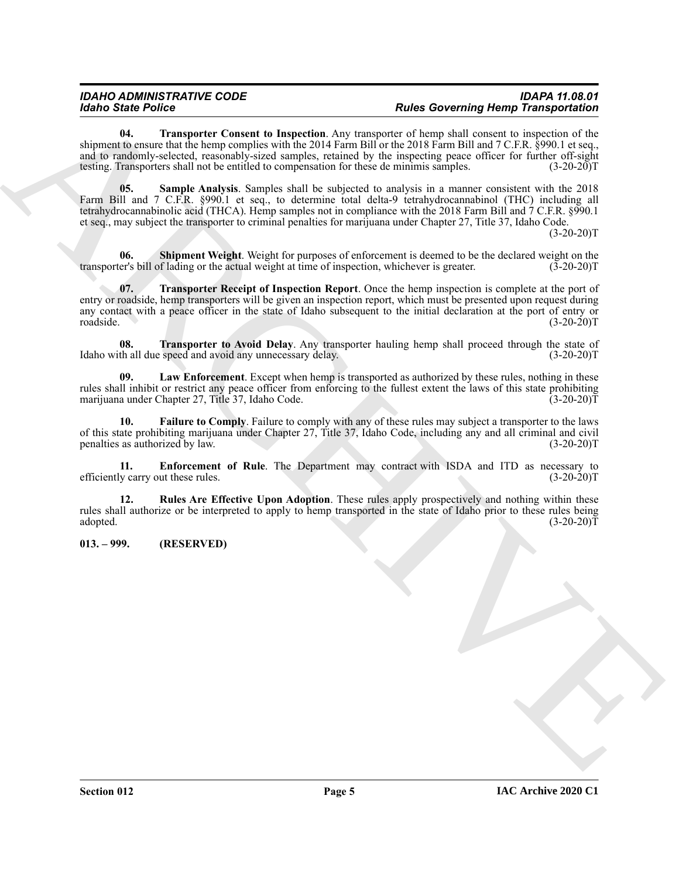<span id="page-4-7"></span><span id="page-4-5"></span>**04. Transporter Consent to Inspection**. Any transporter of hemp shall consent to inspection of the shipment to ensure that the hemp complies with the 2014 Farm Bill or the 2018 Farm Bill and 7 C.F.R. §990.1 et seq., and to randomly-selected, reasonably-sized samples, retained by the inspecting peace officer for further off-sight testing. Transporters shall not be entitled to compensation for these de minimis samples. (3-20-20) testing. Transporters shall not be entitled to compensation for these de minimis samples.

Models State Points of the supervisor of the supervisor and the supervisor of the supervisor of the supervisor of the supervisor of the supervisor of the supervisor of the supervisor of the supervisor of the supervisor of **05. Sample Analysis**. Samples shall be subjected to analysis in a manner consistent with the 2018 Farm Bill and 7 C.F.R. §990.1 et seq., to determine total delta-9 tetrahydrocannabinol (THC) including all tetrahydrocannabinolic acid (THCA). Hemp samples not in compliance with the 2018 Farm Bill and 7 C.F.R. §990.1 et seq., may subject the transporter to criminal penalties for marijuana under Chapter 27, Title 37, Idaho Code.  $(3-20-20)T$ 

<span id="page-4-6"></span>**06.** Shipment Weight. Weight for purposes of enforcement is deemed to be the declared weight on the er's bill of lading or the actual weight at time of inspection, whichever is greater. (3-20-20) transporter's bill of lading or the actual weight at time of inspection, whichever is greater.

<span id="page-4-8"></span>**07. Transporter Receipt of Inspection Report**. Once the hemp inspection is complete at the port of entry or roadside, hemp transporters will be given an inspection report, which must be presented upon request during any contact with a peace officer in the state of Idaho subsequent to the initial declaration at the port of entry or roadside. (3-20-20)T

<span id="page-4-9"></span>**08. Transporter to Avoid Delay**. Any transporter hauling hemp shall proceed through the state of Idaho with all due speed and avoid any unnecessary delay. (3-20-20) T

<span id="page-4-3"></span>**09. Law Enforcement**. Except when hemp is transported as authorized by these rules, nothing in these rules shall inhibit or restrict any peace officer from enforcing to the fullest extent the laws of this state prohibiting marijuana under Chapter 27, Title 37, Idaho Code. (3-20-20) marijuana under Chapter 27, Title 37, Idaho Code.

<span id="page-4-2"></span>**10. Failure to Comply**. Failure to comply with any of these rules may subject a transporter to the laws of this state prohibiting marijuana under Chapter 27, Title 37, Idaho Code, including any and all criminal and civil penalties as authorized by law. (3-20-20)T

<span id="page-4-1"></span>**11. Enforcement of Rule**. The Department may contract with ISDA and ITD as necessary to y carry out these rules. (3-20-20)T efficiently carry out these rules.

<span id="page-4-4"></span>**12. Rules Are Effective Upon Adoption**. These rules apply prospectively and nothing within these rules shall authorize or be interpreted to apply to hemp transported in the state of Idaho prior to these rules being adopted.  $(3-20-20)T$ 

<span id="page-4-0"></span>**013. – 999. (RESERVED)**